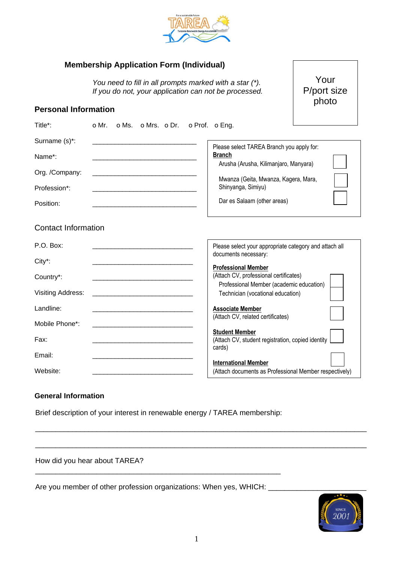

| <b>Membership Application Form (Individual)</b> |  |  |
|-------------------------------------------------|--|--|
|                                                 |  |  |

*You need to fill in all prompts marked with a star (\*). If you do not, your application can not be processed.*

**Personal Information**

| Title*:                  |                                                                                                                      |  | o Mr. o Ms. o Mrs. o Dr. o Prof. o Eng. |                                                                                       |  |
|--------------------------|----------------------------------------------------------------------------------------------------------------------|--|-----------------------------------------|---------------------------------------------------------------------------------------|--|
| Surname (s)*:            |                                                                                                                      |  |                                         | Please select TAREA Branch you apply for:                                             |  |
| Name*:                   |                                                                                                                      |  |                                         | <b>Branch</b><br>Arusha (Arusha, Kilimanjaro, Manyara)                                |  |
| Org. /Company:           | <u> 1980 - Jan James James James James James James James James James James James James James James James James J</u> |  |                                         |                                                                                       |  |
| Profession*:             |                                                                                                                      |  |                                         | Mwanza (Geita, Mwanza, Kagera, Mara,<br>Shinyanga, Simiyu)                            |  |
| Position:                |                                                                                                                      |  |                                         | Dar es Salaam (other areas)                                                           |  |
| Contact Information      |                                                                                                                      |  |                                         |                                                                                       |  |
| P.O. Box:                |                                                                                                                      |  |                                         | Please select your appropriate category and attach all<br>documents necessary:        |  |
| City*:                   |                                                                                                                      |  |                                         | <b>Professional Member</b>                                                            |  |
| Country*:                |                                                                                                                      |  |                                         | (Attach CV, professional certificates)                                                |  |
| <b>Visiting Address:</b> |                                                                                                                      |  |                                         | Professional Member (academic education)<br>Technician (vocational education)         |  |
| Landline:                |                                                                                                                      |  |                                         | <b>Associate Member</b>                                                               |  |
| Mobile Phone*:           |                                                                                                                      |  |                                         | (Attach CV, related certificates)                                                     |  |
| Fax:                     |                                                                                                                      |  |                                         | <b>Student Member</b><br>(Attach CV, student registration, copied identity<br>cards)  |  |
| Email:                   |                                                                                                                      |  |                                         |                                                                                       |  |
| Website:                 |                                                                                                                      |  |                                         | <b>International Member</b><br>(Attach documents as Professional Member respectively) |  |

## **General Information**

Brief description of your interest in renewable energy / TAREA membership:

How did you hear about TAREA?

Are you member of other profession organizations: When yes, WHICH: \_\_\_\_\_\_\_\_\_\_\_\_\_\_

\_\_\_\_\_\_\_\_\_\_\_\_\_\_\_\_\_\_\_\_\_\_\_\_\_\_\_\_\_\_\_\_\_\_\_\_\_\_\_\_\_\_\_\_\_\_\_\_\_\_\_\_\_\_\_\_\_\_\_\_



Your P/port size photo

\_\_\_\_\_\_\_\_\_\_\_\_\_\_\_\_\_\_\_\_\_\_\_\_\_\_\_\_\_\_\_\_\_\_\_\_\_\_\_\_\_\_\_\_\_\_\_\_\_\_\_\_\_\_\_\_\_\_\_\_\_\_\_\_\_\_\_\_\_\_\_\_\_\_\_\_\_\_\_\_\_

\_\_\_\_\_\_\_\_\_\_\_\_\_\_\_\_\_\_\_\_\_\_\_\_\_\_\_\_\_\_\_\_\_\_\_\_\_\_\_\_\_\_\_\_\_\_\_\_\_\_\_\_\_\_\_\_\_\_\_\_\_\_\_\_\_\_\_\_\_\_\_\_\_\_\_\_\_\_\_\_\_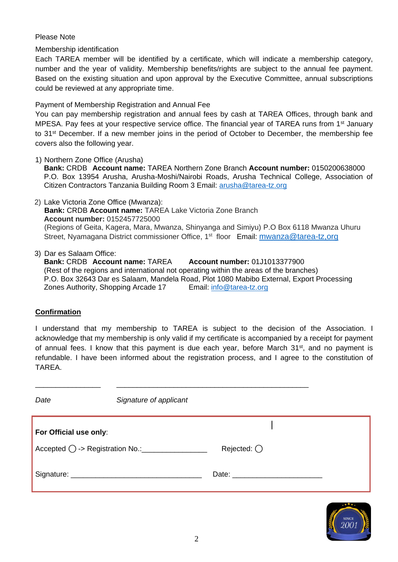## Please Note

Membership identification

Each TAREA member will be identified by a certificate, which will indicate a membership category, number and the year of validity. Membership benefits/rights are subject to the annual fee payment. Based on the existing situation and upon approval by the Executive Committee, annual subscriptions could be reviewed at any appropriate time.

Payment of Membership Registration and Annual Fee

You can pay membership registration and annual fees by cash at TAREA Offices, through bank and MPESA. Pay fees at your respective service office. The financial year of TAREA runs from 1<sup>st</sup> January to 31st December. If a new member joins in the period of October to December, the membership fee covers also the following year.

1) Northern Zone Office (Arusha)

**Bank:** CRDB **Account name:** TAREA Northern Zone Branch **Account number:** 0150200638000 P.O. Box 13954 Arusha, Arusha-Moshi/Nairobi Roads, Arusha Technical College, Association of Citizen Contractors Tanzania Building Room 3 Email: [arusha@tarea-tz.org](mailto:arusha@tarea-tz.org)

- 2) Lake Victoria Zone Office (Mwanza): **Bank:** CRDB **Account name:** TAREA Lake Victoria Zone Branch **Account number:** 0152457725000 (Regions of Geita, Kagera, Mara, Mwanza, Shinyanga and Simiyu) P.O Box 6118 Mwanza Uhuru Street, Nyamagana District commissioner Office, 1<sup>st</sup> floor Email: **mwanza@tarea-tz,org**
- 3) Dar es Salaam Office:

**Bank:** CRDB **Account name:** TAREA **Account number:** 01J1013377900 (Rest of the regions and international not operating within the areas of the branches) P.O. Box 32643 Dar es Salaam, Mandela Road, Plot 1080 Mabibo External, Export Processing Zones Authority, Shopping Arcade 17 Email: [info@tarea-tz.org](mailto:info@tarea-tz.org)

## **Confirmation**

I understand that my membership to TAREA is subject to the decision of the Association. I acknowledge that my membership is only valid if my certificate is accompanied by a receipt for payment of annual fees. I know that this payment is due each year, before March 31<sup>st</sup>, and no payment is refundable. I have been informed about the registration process, and I agree to the constitution of TAREA.

| Date                   | Signature of applicant |                     |  |
|------------------------|------------------------|---------------------|--|
| For Official use only: |                        |                     |  |
|                        |                        | Rejected: $\bigcap$ |  |
|                        |                        |                     |  |

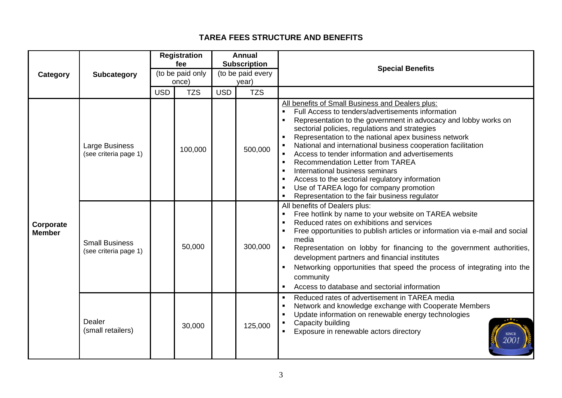## **TAREA FEES STRUCTURE AND BENEFITS**

| Category                   | Subcategory                                    | <b>Registration</b><br>fee<br>(to be paid only<br>once) |            | <b>Annual</b><br><b>Subscription</b><br>(to be paid every<br>year) |            | <b>Special Benefits</b>                                                                                                                                                                                                                                                                                                                                                                                                                                                                                                                                                                                                           |
|----------------------------|------------------------------------------------|---------------------------------------------------------|------------|--------------------------------------------------------------------|------------|-----------------------------------------------------------------------------------------------------------------------------------------------------------------------------------------------------------------------------------------------------------------------------------------------------------------------------------------------------------------------------------------------------------------------------------------------------------------------------------------------------------------------------------------------------------------------------------------------------------------------------------|
|                            |                                                | <b>USD</b>                                              | <b>TZS</b> | <b>USD</b>                                                         | <b>TZS</b> |                                                                                                                                                                                                                                                                                                                                                                                                                                                                                                                                                                                                                                   |
| Corporate<br><b>Member</b> | Large Business<br>(see criteria page 1)        |                                                         | 100,000    |                                                                    | 500,000    | All benefits of Small Business and Dealers plus:<br>Full Access to tenders/advertisements information<br>Representation to the government in advocacy and lobby works on<br>sectorial policies, regulations and strategies<br>Representation to the national apex business network<br>National and international business cooperation facilitation<br>Access to tender information and advertisements<br><b>Recommendation Letter from TAREA</b><br>International business seminars<br>Access to the sectorial regulatory information<br>Use of TAREA logo for company promotion<br>Representation to the fair business regulator |
|                            | <b>Small Business</b><br>(see criteria page 1) |                                                         | 50,000     |                                                                    | 300,000    | All benefits of Dealers plus:<br>Free hotlink by name to your website on TAREA website<br>Reduced rates on exhibitions and services<br>Free opportunities to publish articles or information via e-mail and social<br>media<br>Representation on lobby for financing to the government authorities,<br>development partners and financial institutes<br>Networking opportunities that speed the process of integrating into the<br>community<br>Access to database and sectorial information                                                                                                                                      |
|                            | Dealer<br>(small retailers)                    |                                                         | 30,000     |                                                                    | 125,000    | Reduced rates of advertisement in TAREA media<br>Network and knowledge exchange with Cooperate Members<br>Update information on renewable energy technologies<br>Capacity building<br>Exposure in renewable actors directory<br>2001                                                                                                                                                                                                                                                                                                                                                                                              |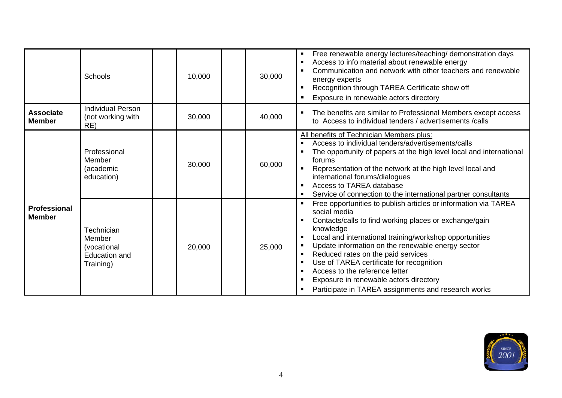|                                      | Schools                                                                  | 10,000 | 30,000 | Free renewable energy lectures/teaching/ demonstration days<br>Access to info material about renewable energy<br>Communication and network with other teachers and renewable<br>energy experts<br>Recognition through TAREA Certificate show off<br>Exposure in renewable actors directory                                                                                                                                                                                                  |
|--------------------------------------|--------------------------------------------------------------------------|--------|--------|---------------------------------------------------------------------------------------------------------------------------------------------------------------------------------------------------------------------------------------------------------------------------------------------------------------------------------------------------------------------------------------------------------------------------------------------------------------------------------------------|
| <b>Associate</b><br><b>Member</b>    | <b>Individual Person</b><br>(not working with<br>RE)                     | 30,000 | 40,000 | The benefits are similar to Professional Members except access<br>to Access to individual tenders / advertisements / calls                                                                                                                                                                                                                                                                                                                                                                  |
|                                      | Professional<br>Member<br>(academic<br>education)                        | 30,000 | 60,000 | All benefits of Technician Members plus:<br>Access to individual tenders/advertisements/calls<br>The opportunity of papers at the high level local and international<br>forums<br>Representation of the network at the high level local and<br>international forums/dialogues<br>Access to TAREA database<br>Service of connection to the international partner consultants                                                                                                                 |
| <b>Professional</b><br><b>Member</b> | Technician<br>Member<br>(vocational<br><b>Education and</b><br>Training) | 20,000 | 25,000 | Free opportunities to publish articles or information via TAREA<br>social media<br>Contacts/calls to find working places or exchange/gain<br>knowledge<br>Local and international training/workshop opportunities<br>Update information on the renewable energy sector<br>Reduced rates on the paid services<br>Use of TAREA certificate for recognition<br>Access to the reference letter<br>Exposure in renewable actors directory<br>Participate in TAREA assignments and research works |